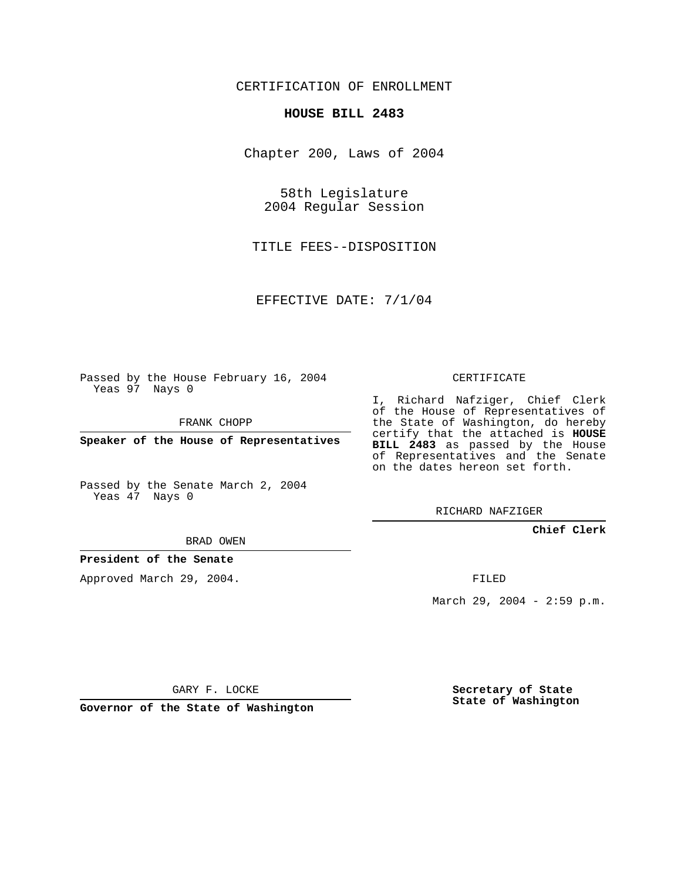## CERTIFICATION OF ENROLLMENT

#### **HOUSE BILL 2483**

Chapter 200, Laws of 2004

58th Legislature 2004 Regular Session

TITLE FEES--DISPOSITION

EFFECTIVE DATE: 7/1/04

Passed by the House February 16, 2004 Yeas 97 Nays 0

FRANK CHOPP

**Speaker of the House of Representatives**

Passed by the Senate March 2, 2004 Yeas 47 Nays 0

#### BRAD OWEN

### **President of the Senate**

Approved March 29, 2004.

CERTIFICATE

I, Richard Nafziger, Chief Clerk of the House of Representatives of the State of Washington, do hereby certify that the attached is **HOUSE BILL 2483** as passed by the House of Representatives and the Senate on the dates hereon set forth.

RICHARD NAFZIGER

### **Chief Clerk**

FILED

March 29, 2004 - 2:59 p.m.

GARY F. LOCKE

**Governor of the State of Washington**

**Secretary of State State of Washington**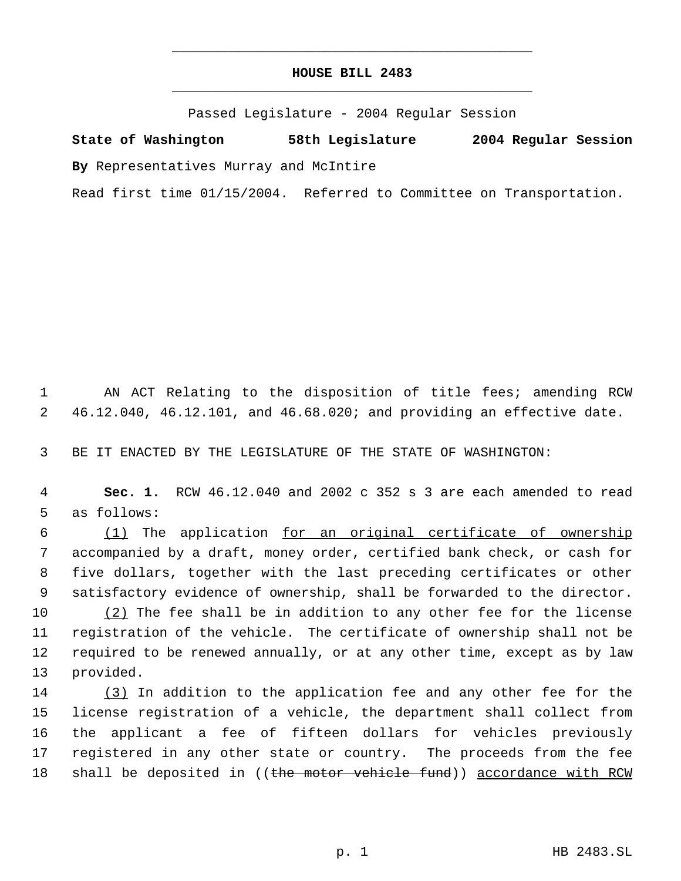# **HOUSE BILL 2483** \_\_\_\_\_\_\_\_\_\_\_\_\_\_\_\_\_\_\_\_\_\_\_\_\_\_\_\_\_\_\_\_\_\_\_\_\_\_\_\_\_\_\_\_\_

\_\_\_\_\_\_\_\_\_\_\_\_\_\_\_\_\_\_\_\_\_\_\_\_\_\_\_\_\_\_\_\_\_\_\_\_\_\_\_\_\_\_\_\_\_

Passed Legislature - 2004 Regular Session

**State of Washington 58th Legislature 2004 Regular Session By** Representatives Murray and McIntire

Read first time 01/15/2004. Referred to Committee on Transportation.

 1 AN ACT Relating to the disposition of title fees; amending RCW 2 46.12.040, 46.12.101, and 46.68.020; and providing an effective date.

3 BE IT ENACTED BY THE LEGISLATURE OF THE STATE OF WASHINGTON:

 4 **Sec. 1.** RCW 46.12.040 and 2002 c 352 s 3 are each amended to read 5 as follows:

 (1) The application for an original certificate of ownership accompanied by a draft, money order, certified bank check, or cash for five dollars, together with the last preceding certificates or other satisfactory evidence of ownership, shall be forwarded to the director.  $(2)$  The fee shall be in addition to any other fee for the license

11 registration of the vehicle. The certificate of ownership shall not be 12 required to be renewed annually, or at any other time, except as by law 13 provided.

14 (3) In addition to the application fee and any other fee for the 15 license registration of a vehicle, the department shall collect from 16 the applicant a fee of fifteen dollars for vehicles previously 17 registered in any other state or country. The proceeds from the fee 18 shall be deposited in ((the motor vehicle fund)) accordance with RCW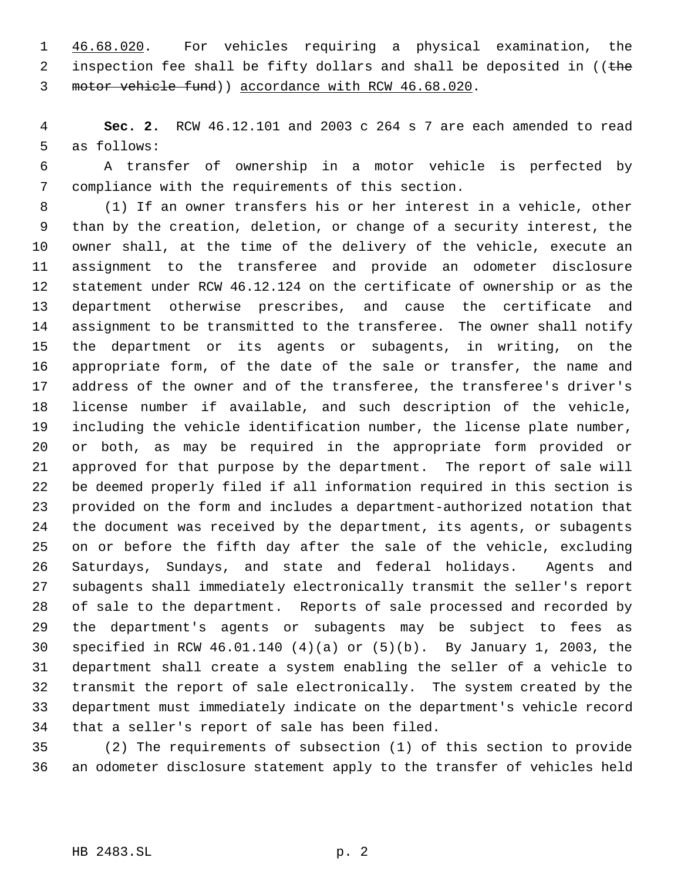46.68.020. For vehicles requiring a physical examination, the 2 inspection fee shall be fifty dollars and shall be deposited in  $($  (the motor vehicle fund)) accordance with RCW 46.68.020.

 **Sec. 2.** RCW 46.12.101 and 2003 c 264 s 7 are each amended to read as follows:

 A transfer of ownership in a motor vehicle is perfected by compliance with the requirements of this section.

 (1) If an owner transfers his or her interest in a vehicle, other than by the creation, deletion, or change of a security interest, the owner shall, at the time of the delivery of the vehicle, execute an assignment to the transferee and provide an odometer disclosure statement under RCW 46.12.124 on the certificate of ownership or as the department otherwise prescribes, and cause the certificate and assignment to be transmitted to the transferee. The owner shall notify the department or its agents or subagents, in writing, on the appropriate form, of the date of the sale or transfer, the name and address of the owner and of the transferee, the transferee's driver's license number if available, and such description of the vehicle, including the vehicle identification number, the license plate number, or both, as may be required in the appropriate form provided or approved for that purpose by the department. The report of sale will be deemed properly filed if all information required in this section is provided on the form and includes a department-authorized notation that the document was received by the department, its agents, or subagents on or before the fifth day after the sale of the vehicle, excluding Saturdays, Sundays, and state and federal holidays. Agents and subagents shall immediately electronically transmit the seller's report of sale to the department. Reports of sale processed and recorded by the department's agents or subagents may be subject to fees as specified in RCW 46.01.140 (4)(a) or (5)(b). By January 1, 2003, the department shall create a system enabling the seller of a vehicle to transmit the report of sale electronically. The system created by the department must immediately indicate on the department's vehicle record that a seller's report of sale has been filed.

 (2) The requirements of subsection (1) of this section to provide an odometer disclosure statement apply to the transfer of vehicles held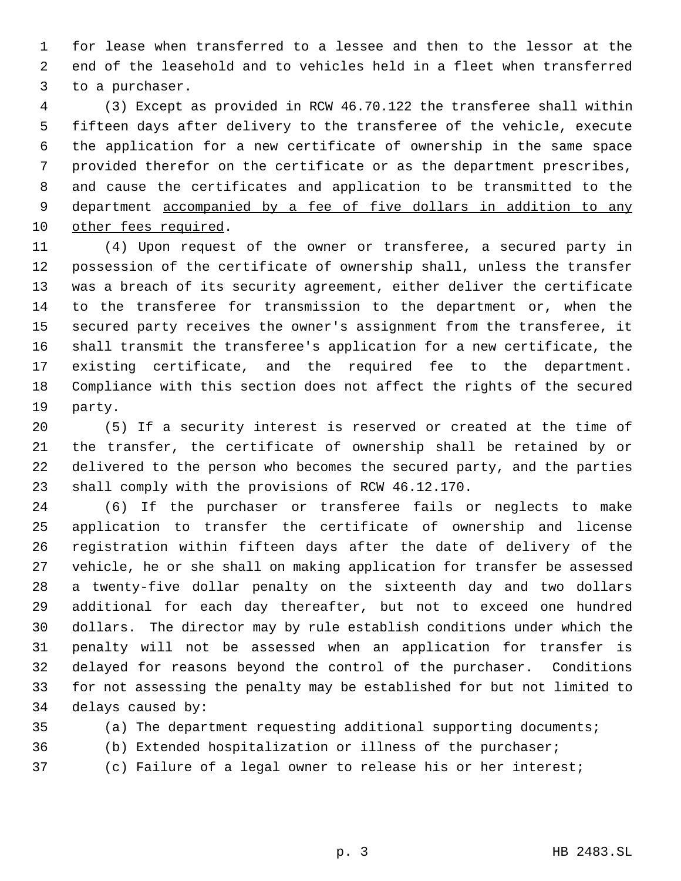for lease when transferred to a lessee and then to the lessor at the end of the leasehold and to vehicles held in a fleet when transferred to a purchaser.

 (3) Except as provided in RCW 46.70.122 the transferee shall within fifteen days after delivery to the transferee of the vehicle, execute the application for a new certificate of ownership in the same space provided therefor on the certificate or as the department prescribes, and cause the certificates and application to be transmitted to the 9 department accompanied by a fee of five dollars in addition to any other fees required.

 (4) Upon request of the owner or transferee, a secured party in possession of the certificate of ownership shall, unless the transfer was a breach of its security agreement, either deliver the certificate to the transferee for transmission to the department or, when the secured party receives the owner's assignment from the transferee, it shall transmit the transferee's application for a new certificate, the existing certificate, and the required fee to the department. Compliance with this section does not affect the rights of the secured party.

 (5) If a security interest is reserved or created at the time of the transfer, the certificate of ownership shall be retained by or delivered to the person who becomes the secured party, and the parties shall comply with the provisions of RCW 46.12.170.

 (6) If the purchaser or transferee fails or neglects to make application to transfer the certificate of ownership and license registration within fifteen days after the date of delivery of the vehicle, he or she shall on making application for transfer be assessed a twenty-five dollar penalty on the sixteenth day and two dollars additional for each day thereafter, but not to exceed one hundred dollars. The director may by rule establish conditions under which the penalty will not be assessed when an application for transfer is delayed for reasons beyond the control of the purchaser. Conditions for not assessing the penalty may be established for but not limited to delays caused by:

(a) The department requesting additional supporting documents;

(b) Extended hospitalization or illness of the purchaser;

(c) Failure of a legal owner to release his or her interest;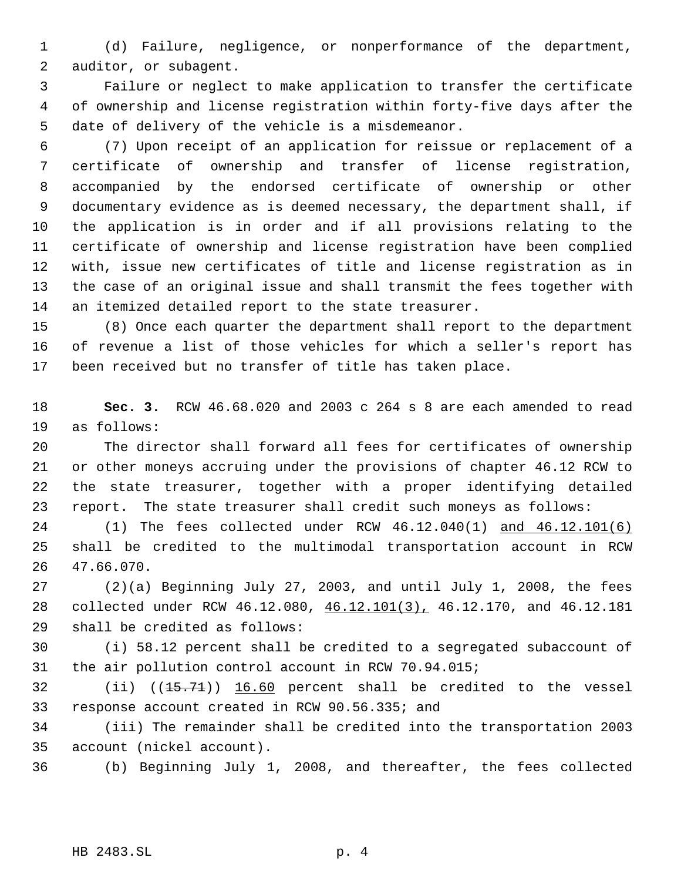(d) Failure, negligence, or nonperformance of the department, auditor, or subagent.

 Failure or neglect to make application to transfer the certificate of ownership and license registration within forty-five days after the date of delivery of the vehicle is a misdemeanor.

 (7) Upon receipt of an application for reissue or replacement of a certificate of ownership and transfer of license registration, accompanied by the endorsed certificate of ownership or other documentary evidence as is deemed necessary, the department shall, if the application is in order and if all provisions relating to the certificate of ownership and license registration have been complied with, issue new certificates of title and license registration as in the case of an original issue and shall transmit the fees together with an itemized detailed report to the state treasurer.

 (8) Once each quarter the department shall report to the department of revenue a list of those vehicles for which a seller's report has been received but no transfer of title has taken place.

 **Sec. 3.** RCW 46.68.020 and 2003 c 264 s 8 are each amended to read as follows:

 The director shall forward all fees for certificates of ownership or other moneys accruing under the provisions of chapter 46.12 RCW to the state treasurer, together with a proper identifying detailed report. The state treasurer shall credit such moneys as follows:

 (1) The fees collected under RCW 46.12.040(1) and 46.12.101(6) shall be credited to the multimodal transportation account in RCW 47.66.070.

 (2)(a) Beginning July 27, 2003, and until July 1, 2008, the fees collected under RCW 46.12.080, 46.12.101(3), 46.12.170, and 46.12.181 shall be credited as follows:

 (i) 58.12 percent shall be credited to a segregated subaccount of the air pollution control account in RCW 70.94.015;

32 (ii) ((15.71)) 16.60 percent shall be credited to the vessel response account created in RCW 90.56.335; and

 (iii) The remainder shall be credited into the transportation 2003 account (nickel account).

(b) Beginning July 1, 2008, and thereafter, the fees collected